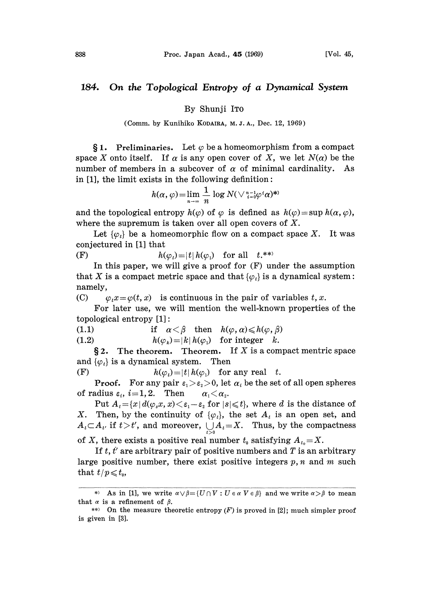## 184. On the Topological Entropy of a Dynamical System

## By Shunji IT0

(Comm. by Kunihiko KODAIRA, M.J.A., Dec. 12, 1969)

§ 1. Preliminaries. Let  $\varphi$  be a homeomorphism from a compact space X onto itself. If  $\alpha$  is any open cover of X, we let  $N(\alpha)$  be the number of members in a subcover of  $\alpha$  of minimal cardinality. As in  $[1]$ , the limit exists in the following definition:

$$
h(\alpha,\varphi) = \lim_{n \to \infty} \frac{1}{n} \log N(\sqrt[n-1]{n-1} \varphi^i \alpha)^{**}
$$

and the topological entropy  $h(\varphi)$  of  $\varphi$  is defined as  $h(\varphi)=\sup h(\alpha, \varphi)$ , where the supremum is taken over all open covers of  $X$ .

Let  $\{\varphi_i\}$  be a homeomorphic flow on a compact space X. It was conjectured in [1] that

(F)  $h(\varphi_t)=|t|h(\varphi_t)$  for all  $t^{**}$ 

In this paper, we will give a proof for  $(F)$  under the assumption that X is a compact metric space and that  $\{\varphi_t\}$  is a dynamical system: namely,

(C)  $\varphi_t x = \varphi(t, x)$  is continuous in the pair of variables t, x.

For later use, we will mention the well-known properties of the topological entropy [1]:

(1.1) if 
$$
\alpha < \beta
$$
 then  $h(\varphi, \alpha) \leq h(\varphi, \beta)$ 

(1.2)  $h(\varphi_k)=|k|h(\varphi_1)$  for integer k.

 $\S 2$ . The theorem. Theorem. If X is a compact mentric space and  $\{\varphi_t\}$  is a dynamical system. Then

(F)  $h(\varphi_t)=|t| h(\varphi_1)$  for any real t.

**Proof.** For any pair  $\varepsilon_1 > \varepsilon_2 > 0$ , let  $\alpha_i$  be the set of all open spheres of radius  $\varepsilon_i$ ,  $i=1, 2$ . Then  $\alpha_1 < \alpha_2$ .

Put  $A_t = \{x | d(\varphi_s x, x) \leq \varepsilon_1 - \varepsilon_2 \text{ for } |s| \leq t\}$ , where d is the distance of X. Then, by the continuity of  $\{\varphi_t\}$ , the set  $A_t$  is an open set, and  $A_t \subset A_{t'}$  if  $t > t'$ , and moreover,  $\bigcup_{t>0} A_t = X$ . Thus, by the compactness

of X, there exists a positive real number  $t_0$  satisfying  $A_{t_0} = X$ .

If  $t, t'$  are arbitrary pair of positive numbers and  $T$  is an arbitrary large positive number, there exist positive integers  $p, n$  and  $m$  such that  $t / p \leqslant t_0$ ,

<sup>\*)</sup> As in [1], we write  $\alpha \vee \beta = \{U \cap V : U \in \alpha \mid V \in \beta\}$  and we write  $\alpha > \beta$  to mean that  $\alpha$  is a refinement of  $\beta$ .

<sup>\*\*)</sup> On the measure theoretic entropy  $(F)$  is proved in [2]; much simpler proof is given in [3].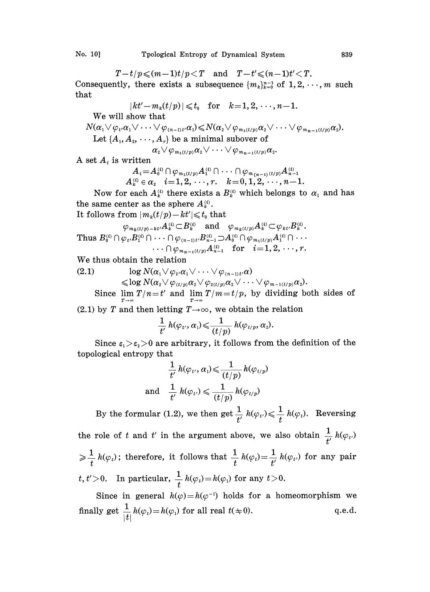$T-t/p \leqslant (m-1)t/p < T$  and  $T-t' \leqslant (n-1)t' < T$ . Consequently, there exists a subsequence  $\{m_k\}_{k=0}^{n-1}$  of  $1, 2, \dots, m$  such that

$$
|kt'-m_k(t/p)|\leqslant t_0 \quad \text{for} \quad k=1,2,\cdots,n-1.
$$

We will show that

 $N(\alpha_1 \vee \varphi_{t'}\alpha_1 \vee \cdots \vee \varphi_{n-1} \alpha_n) \leq N(\alpha_2 \vee \varphi_{m_1(t/p)}\alpha_2 \vee \cdots \vee \varphi_{m_{n-1}(t/p)}\alpha_2).$ 

Let  $\{A_1, A_2, \dots, A_r\}$  be a minimal subover of

$$
\alpha_2 \vee \varphi_{m_1(t/p)} \alpha_2 \vee \cdots \vee \varphi_{m_{n-1}(t/p)} \alpha_2.
$$

A set  $A_i$  is written

 $A_i = A_0^{(i)} \cap \varphi_{m_1(t/p)} A_1^{(i)} \cap \cdots \cap \varphi_{m_{(n-1)}(t/p)} A_{n-1}^{(i)}$  $A_k^{(i)} \in \alpha_i \quad i \!=\! 1,2,\,\cdots\,,r. \quad k \!=\! 0,1,2,\cdots\!,n \!-\! 1.$ 

Now for each  $A_k^{(i)}$  there exists a  $B_k^{(i)}$  which belongs to  $\alpha_1$  and has the same center as the sphere  $A_k^{(i)}$ .

It follows from  $|m_k(t/p)-kt'| \leq t_0$  that

$$
\varphi_{m_k(t/p)-kt'}A_k^{(i)} \subset B_k^{(i)}
$$
 and  $\varphi_{m_k(t/p)}A_k^{(i)} \subset \varphi_{kt'}B_k^{(i)}$ .

 $\text{Thus } B_0^{\scriptscriptstyle (i)} \cap \varphi_{\scriptscriptstyle t'} B_1^{\scriptscriptstyle (i)} \cap \cdots \cap \varphi_{\scriptscriptstyle (n-1)t'} B_{n-1}^{\scriptscriptstyle (i)} {\supset} A_0^{\scriptscriptstyle (i)} \cap \varphi_{\scriptscriptstyle m_1(t/p)} A_1^{\scriptscriptstyle (i)} \cap$  $\cdots \cap \varphi_{m_{n-1}(t/p)}A_{n-1}^{(i)}$  for  $i=1,2,\ldots,r$ .

We thus obtain the relation

(2.1)  $\log N(\alpha_1 \vee \varphi_t, \alpha_1 \vee \cdots \vee \varphi_{n-1} \vee \alpha)$  $\leqslant$ log  $N(\alpha_{2}\vee\varphi_{(t/p)}\alpha_{2}\vee\varphi_{2(t/p)}\alpha_{2}\vee\cdots\vee\varphi_{m-1(t/p)}\alpha_{2}).$ 

Since  $\lim_{T \to \infty} T/n = t'$  and  $\lim_{T \to \infty} T/m = t/p$ , by dividing both sides of

(2.1) by T and then letting  $T\rightarrow\infty$ , we obtain the relation

$$
\frac{1}{t'} h(\varphi_{t'}, \alpha_1) \leqslant \frac{1}{(t/p)} h(\varphi_{t/p}, \alpha_2).
$$

Since  $\varepsilon_1 > \varepsilon_2 > 0$  are arbitrary, it follows from the definition of the topological entropy that

$$
\frac{1}{t'}\, h(\varphi_{t'}, \alpha_i) \leqslant \frac{1}{(t/p)}\, h(\varphi_{t/p})
$$
 and 
$$
\frac{1}{t'}\, h(\varphi_{t'}) \leqslant \frac{1}{(t/p)}\, h(\varphi_{t/p})
$$

By the formular (1.2), we then get  $\frac{1}{t'} h(\varphi_t) \leqslant \frac{1}{t} h(\varphi_t)$ . Reversing the role of t and t' in the argument above, we also obtain  $\frac{1}{\mu} h(\varphi_t)$  $\frac{1}{t} h(\varphi_t)$ ; therefore, it follows that  $\frac{1}{t} h(\varphi_t) = \frac{1}{t'} h(\varphi_{t'})$  for any pair t,  $t' > 0$ . In particular,  $\frac{1}{t} h(\varphi_t) = h(\varphi_1)$  for any

Since in general  $h(\varphi) = h(\varphi^{-1})$  holds for a homeomorphism we finally get  $\frac{1}{|t|}h(\varphi_t) = h(\varphi_1)$  for all real  $t(\pm 0)$ . q.e.d.  $|l|$